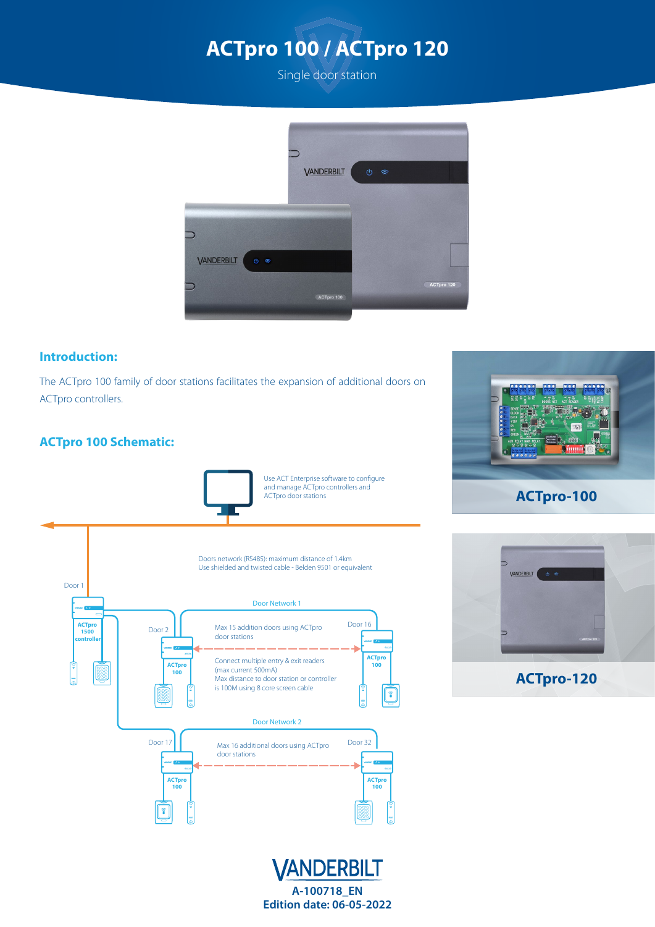



#### **Introduction:**

The ACTpro 100 family of door stations facilitates the expansion of additional doors on ACTpro controllers.

### **ACTpro 100 Schematic:**





## **ACTpro-100**



**ACTpro-120**



**A-100718\_EN Edition date: 06-05-2022**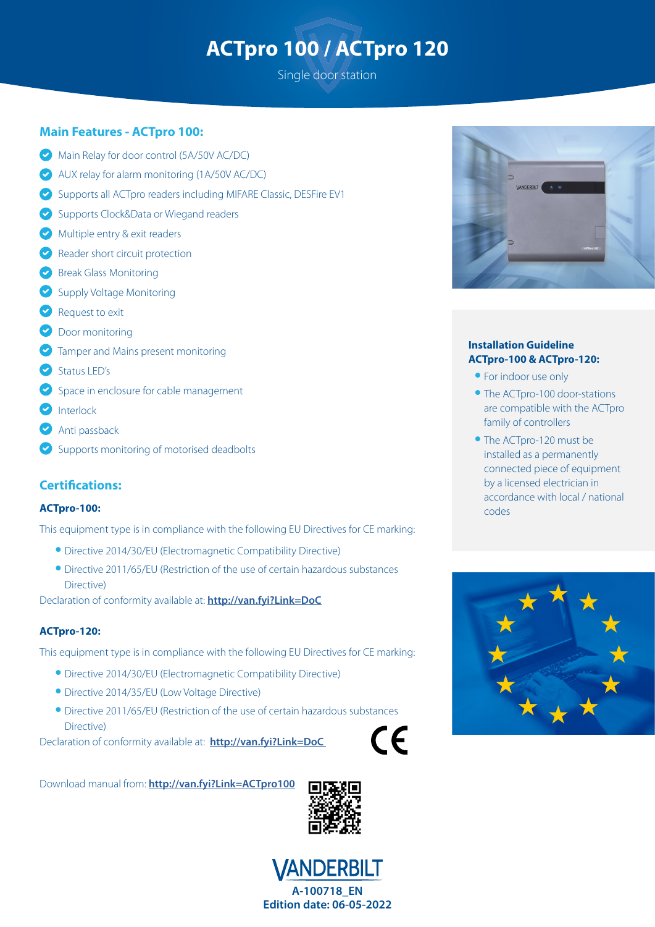# **ACTpro 100 / ACTpro 120**

Single door station

#### **Main Features - ACTpro 100:**

- Main Relay for door control (5A/50V AC/DC)
- AUX relay for alarm monitoring (1A/50V AC/DC)
- Supports all ACTpro readers including MIFARE Classic, DESFire EV1
- Supports Clock&Data or Wiegand readers
- Multiple entry & exit readers
- Reader short circuit protection
- **Break Glass Monitoring**
- Supply Voltage Monitoring
- Request to exit
- **Door monitoring**
- **Tamper and Mains present monitoring**
- Status LED's
- Space in enclosure for cable management
- **D** Interlock
- **Anti passback**
- Supports monitoring of motorised deadbolts

#### **Certifications:**

#### **ACTpro-100:**

This equipment type is in compliance with the following EU Directives for CE marking:

- **•** Directive 2014/30/EU (Electromagnetic Compatibility Directive)
- **•** Directive 2011/65/EU (Restriction of the use of certain hazardous substances Directive)

Declaration of conformity available at: **<http://van.fyi?Link=DoC>**

#### **ACTpro-120:**

This equipment type is in compliance with the following EU Directives for CE marking:

- **•** Directive 2014/30/EU (Electromagnetic Compatibility Directive)
- **•** Directive 2014/35/EU (Low Voltage Directive)
- **•** Directive 2011/65/EU (Restriction of the use of certain hazardous substances Directive)

Declaration of conformity available at: **<http://van.fyi?Link=DoC>**

 $\epsilon$ 

Download manual from: **<http://van.fyi?Link=ACTpro100>**







#### **Installation Guideline ACTpro-100 & ACTpro-120:**

- **•** For indoor use only
- **•** The ACTpro-100 door-stations are compatible with the ACTpro family of controllers
- **•** The ACTpro-120 must be installed as a permanently connected piece of equipment by a licensed electrician in accordance with local / national codes

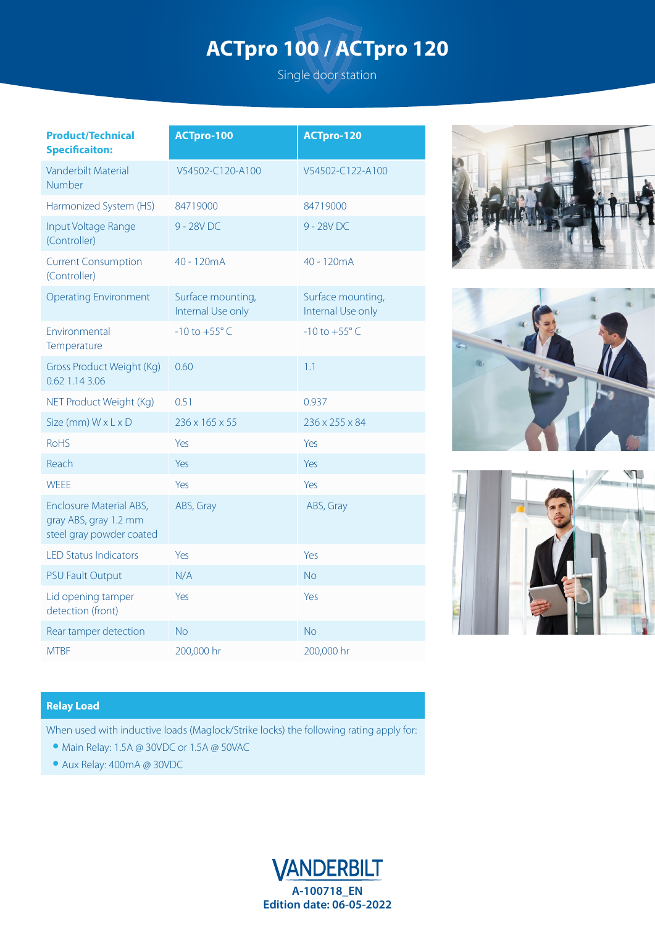# **ACTpro 100 / ACTpro 120**

Single door station

| <b>Product/Technical</b><br><b>Specificaiton:</b>                            | <b>ACTpro-100</b>                      | <b>ACTpro-120</b>                      |
|------------------------------------------------------------------------------|----------------------------------------|----------------------------------------|
| Vanderbilt Material<br>Number                                                | V54502-C120-A100                       | V54502-C122-A100                       |
| Harmonized System (HS)                                                       | 84719000                               | 84719000                               |
| Input Voltage Range<br>(Controller)                                          | 9 - 28V DC                             | 9 - 28V DC                             |
| <b>Current Consumption</b><br>(Controller)                                   | 40 - 120mA                             | 40 - 120mA                             |
| <b>Operating Environment</b>                                                 | Surface mounting,<br>Internal Use only | Surface mounting,<br>Internal Use only |
| Environmental<br>Temperature                                                 | $-10$ to $+55^{\circ}$ C               | $-10$ to $+55^{\circ}$ C               |
| Gross Product Weight (Kg)<br>0.62 1.14 3.06                                  | 0.60                                   | 1.1                                    |
| NET Product Weight (Kg)                                                      | 0.51                                   | 0.937                                  |
| Size (mm) W x L x D                                                          | $236 \times 165 \times 55$             | 236 x 255 x 84                         |
| <b>RoHS</b>                                                                  | Yes                                    | Yes                                    |
| Reach                                                                        | Yes                                    | Yes                                    |
| <b>WEEE</b>                                                                  | Yes                                    | Yes                                    |
| Enclosure Material ABS,<br>gray ABS, gray 1.2 mm<br>steel gray powder coated | ABS, Gray                              | ABS, Gray                              |
| <b>LED Status Indicators</b>                                                 | Yes                                    | Yes                                    |
| <b>PSU Fault Output</b>                                                      | N/A                                    | <b>No</b>                              |
| Lid opening tamper<br>detection (front)                                      | Yes                                    | Yes                                    |
| Rear tamper detection                                                        | <b>No</b>                              | <b>No</b>                              |
| <b>MTBF</b>                                                                  | 200,000 hr                             | 200,000 hr                             |







#### **Relay Load**

When used with inductive loads (Maglock/Strike locks) the following rating apply for:

- **•** Main Relay: 1.5A @ 30VDC or 1.5A @ 50VAC
- **•** Aux Relay: 400mA @ 30VDC